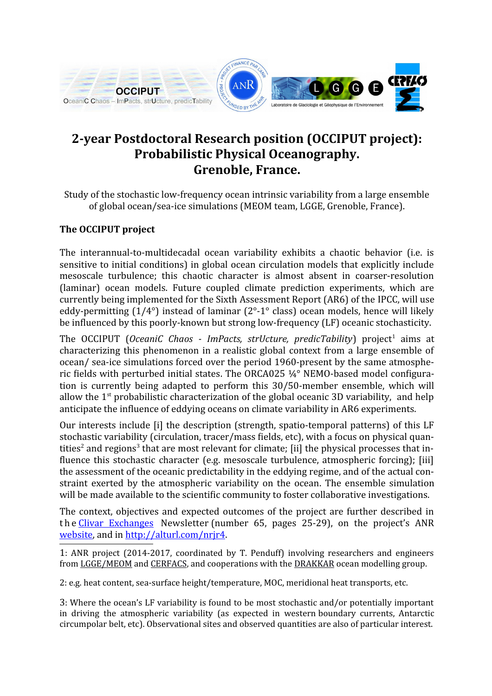

# **2-year Postdoctoral Research position (OCCIPUT project): Probabilistic Physical Oceanography. Grenoble, France.**

Study of the stochastic low-frequency ocean intrinsic variability from a large ensemble of global ocean/sea-ice simulations (MEOM team, LGGE, Grenoble, France).

### **The OCCIPUT project**

The interannual-to-multidecadal ocean variability exhibits a chaotic behavior (i.e. is sensitive to initial conditions) in global ocean circulation models that explicitly include mesoscale turbulence; this chaotic character is almost absent in coarser-resolution (laminar) ocean models. Future coupled climate prediction experiments, which are currently being implemented for the Sixth Assessment Report (AR6) of the IPCC, will use eddy-permitting  $(1/4^{\circ})$  instead of laminar  $(2^{\circ}-1^{\circ})$  class) ocean models, hence will likely be influenced by this poorly-known but strong low-frequency (LF) oceanic stochasticity.

The OCCIPUT (OceaniC Chaos - ImPacts, strUcture, predicTability) project<sup>1</sup> aims at characterizing this phenomenon in a realistic global context from a large ensemble of ocean/ sea-ice simulations forced over the period 1960-present by the same atmospheric fields with perturbed initial states. The ORCA025 ¼° NEMO-based model configuration is currently being adapted to perform this 30/50-member ensemble, which will allow the  $1<sup>st</sup>$  probabilistic characterization of the global oceanic 3D variability, and help anticipate the influence of eddying oceans on climate variability in AR6 experiments.

Our interests include [i] the description (strength, spatio-temporal patterns) of this LF stochastic variability (circulation, tracer/mass fields, etc), with a focus on physical quantities<sup>2</sup> and regions<sup>3</sup> that are most relevant for climate; [ii] the physical processes that influence this stochastic character (e.g. mesoscale turbulence, atmospheric forcing); [iii] the assessment of the oceanic predictability in the eddying regime, and of the actual constraint exerted by the atmospheric variability on the ocean. The ensemble simulation will be made available to the scientific community to foster collaborative investigations.

The context, objectives and expected outcomes of the project are further described in the Clivar Exchanges Newsletter (number 65, pages 25-29), on the project's ANR website, and in http://alturl.com/nrir4.

1: ANR project (2014-2017, coordinated by T. Penduff) involving researchers and engineers from LGGE/MEOM and CERFACS, and cooperations with the DRAKKAR ocean modelling group.

2: e.g. heat content, sea-surface height/temperature, MOC, meridional heat transports, etc.

3: Where the ocean's LF variability is found to be most stochastic and/or potentially important in driving the atmospheric variability (as expected in western boundary currents, Antarctic circumpolar belt, etc). Observational sites and observed quantities are also of particular interest.